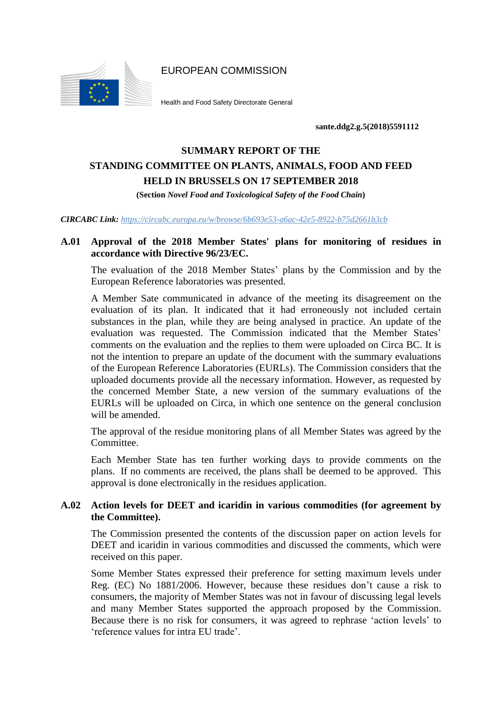EUROPEAN COMMISSION



Health and Food Safety Directorate General

**sante.ddg2.g.5(2018)5591112**

# **SUMMARY REPORT OF THE STANDING COMMITTEE ON PLANTS, ANIMALS, FOOD AND FEED HELD IN BRUSSELS ON 17 SEPTEMBER 2018**

**(Section** *Novel Food and Toxicological Safety of the Food Chain***)**

*CIRCABC Link: https://circabc.europa.eu/w/browse/6b693e53-a6ac-42e5-8922-b75d2661b3cb*

## **A.01 Approval of the 2018 Member States' plans for monitoring of residues in accordance with Directive 96/23/EC.**

The evaluation of the 2018 Member States' plans by the Commission and by the European Reference laboratories was presented.

A Member Sate communicated in advance of the meeting its disagreement on the evaluation of its plan. It indicated that it had erroneously not included certain substances in the plan, while they are being analysed in practice. An update of the evaluation was requested. The Commission indicated that the Member States' comments on the evaluation and the replies to them were uploaded on Circa BC. It is not the intention to prepare an update of the document with the summary evaluations of the European Reference Laboratories (EURLs). The Commission considers that the uploaded documents provide all the necessary information. However, as requested by the concerned Member State, a new version of the summary evaluations of the EURLs will be uploaded on Circa, in which one sentence on the general conclusion will be amended.

The approval of the residue monitoring plans of all Member States was agreed by the Committee.

Each Member State has ten further working days to provide comments on the plans. If no comments are received, the plans shall be deemed to be approved. This approval is done electronically in the residues application.

# **A.02 Action levels for DEET and icaridin in various commodities (for agreement by the Committee).**

The Commission presented the contents of the discussion paper on action levels for DEET and icaridin in various commodities and discussed the comments, which were received on this paper.

Some Member States expressed their preference for setting maximum levels under Reg. (EC) No 1881/2006. However, because these residues don't cause a risk to consumers, the majority of Member States was not in favour of discussing legal levels and many Member States supported the approach proposed by the Commission. Because there is no risk for consumers, it was agreed to rephrase 'action levels' to 'reference values for intra EU trade'.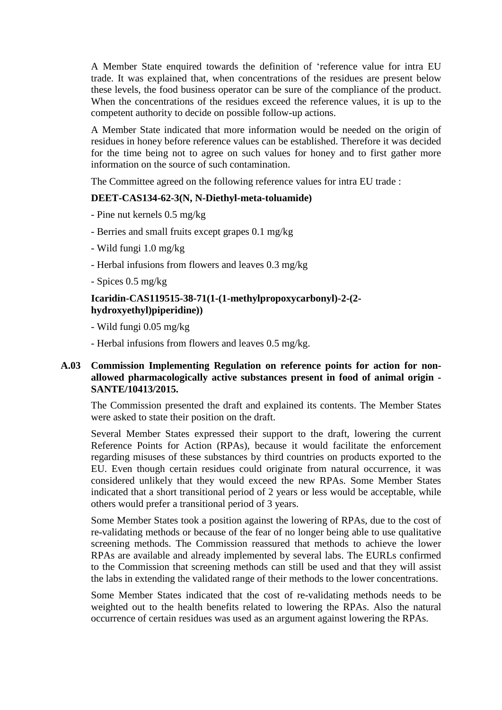A Member State enquired towards the definition of 'reference value for intra EU trade. It was explained that, when concentrations of the residues are present below these levels, the food business operator can be sure of the compliance of the product. When the concentrations of the residues exceed the reference values, it is up to the competent authority to decide on possible follow-up actions.

A Member State indicated that more information would be needed on the origin of residues in honey before reference values can be established. Therefore it was decided for the time being not to agree on such values for honey and to first gather more information on the source of such contamination.

The Committee agreed on the following reference values for intra EU trade :

# **DEET-CAS134-62-3(N, N-Diethyl-meta-toluamide)**

- Pine nut kernels 0.5 mg/kg
- Berries and small fruits except grapes 0.1 mg/kg
- Wild fungi 1.0 mg/kg
- Herbal infusions from flowers and leaves 0.3 mg/kg
- Spices 0.5 mg/kg

# **Icaridin-CAS119515-38-71(1-(1-methylpropoxycarbonyl)-2-(2 hydroxyethyl)piperidine))**

- Wild fungi 0.05 mg/kg
- Herbal infusions from flowers and leaves 0.5 mg/kg.

# **A.03 Commission Implementing Regulation on reference points for action for nonallowed pharmacologically active substances present in food of animal origin - SANTE/10413/2015.**

The Commission presented the draft and explained its contents. The Member States were asked to state their position on the draft.

Several Member States expressed their support to the draft, lowering the current Reference Points for Action (RPAs), because it would facilitate the enforcement regarding misuses of these substances by third countries on products exported to the EU. Even though certain residues could originate from natural occurrence, it was considered unlikely that they would exceed the new RPAs. Some Member States indicated that a short transitional period of 2 years or less would be acceptable, while others would prefer a transitional period of 3 years.

Some Member States took a position against the lowering of RPAs, due to the cost of re-validating methods or because of the fear of no longer being able to use qualitative screening methods. The Commission reassured that methods to achieve the lower RPAs are available and already implemented by several labs. The EURLs confirmed to the Commission that screening methods can still be used and that they will assist the labs in extending the validated range of their methods to the lower concentrations.

Some Member States indicated that the cost of re-validating methods needs to be weighted out to the health benefits related to lowering the RPAs. Also the natural occurrence of certain residues was used as an argument against lowering the RPAs.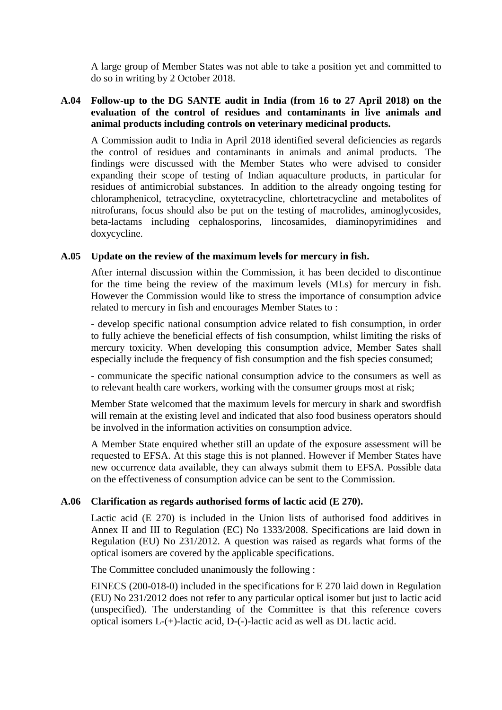A large group of Member States was not able to take a position yet and committed to do so in writing by 2 October 2018.

## **A.04 Follow-up to the DG SANTE audit in India (from 16 to 27 April 2018) on the evaluation of the control of residues and contaminants in live animals and animal products including controls on veterinary medicinal products.**

A Commission audit to India in April 2018 identified several deficiencies as regards the control of residues and contaminants in animals and animal products. The findings were discussed with the Member States who were advised to consider expanding their scope of testing of Indian aquaculture products, in particular for residues of antimicrobial substances. In addition to the already ongoing testing for chloramphenicol, tetracycline, oxytetracycline, chlortetracycline and metabolites of nitrofurans, focus should also be put on the testing of macrolides, aminoglycosides, beta-lactams including cephalosporins, lincosamides, diaminopyrimidines and doxycycline.

### **A.05 Update on the review of the maximum levels for mercury in fish.**

After internal discussion within the Commission, it has been decided to discontinue for the time being the review of the maximum levels (MLs) for mercury in fish. However the Commission would like to stress the importance of consumption advice related to mercury in fish and encourages Member States to :

- develop specific national consumption advice related to fish consumption, in order to fully achieve the beneficial effects of fish consumption, whilst limiting the risks of mercury toxicity. When developing this consumption advice, Member Sates shall especially include the frequency of fish consumption and the fish species consumed;

- communicate the specific national consumption advice to the consumers as well as to relevant health care workers, working with the consumer groups most at risk;

Member State welcomed that the maximum levels for mercury in shark and swordfish will remain at the existing level and indicated that also food business operators should be involved in the information activities on consumption advice.

A Member State enquired whether still an update of the exposure assessment will be requested to EFSA. At this stage this is not planned. However if Member States have new occurrence data available, they can always submit them to EFSA. Possible data on the effectiveness of consumption advice can be sent to the Commission.

### **A.06 Clarification as regards authorised forms of lactic acid (E 270).**

Lactic acid (E 270) is included in the Union lists of authorised food additives in Annex II and III to Regulation (EC) No 1333/2008. Specifications are laid down in Regulation (EU) No 231/2012. A question was raised as regards what forms of the optical isomers are covered by the applicable specifications.

The Committee concluded unanimously the following :

EINECS (200-018-0) included in the specifications for E 270 laid down in Regulation (EU) No 231/2012 does not refer to any particular optical isomer but just to lactic acid (unspecified). The understanding of the Committee is that this reference covers optical isomers L-(+)-lactic acid, D-(-)-lactic acid as well as DL lactic acid.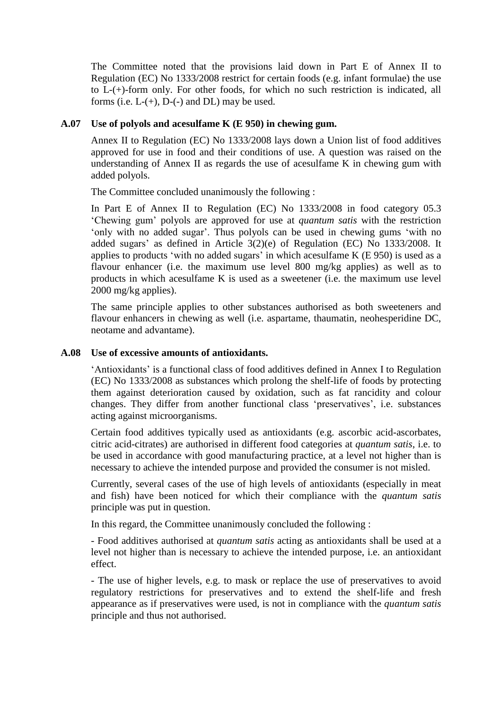The Committee noted that the provisions laid down in Part E of Annex II to Regulation (EC) No 1333/2008 restrict for certain foods (e.g. infant formulae) the use to L-(+)-form only. For other foods, for which no such restriction is indicated, all forms (i.e.  $L-(+)$ ,  $D-(-)$  and  $DL$ ) may be used.

### **A.07 Use of polyols and acesulfame K (E 950) in chewing gum.**

Annex II to Regulation (EC) No 1333/2008 lays down a Union list of food additives approved for use in food and their conditions of use. A question was raised on the understanding of Annex II as regards the use of acesulfame K in chewing gum with added polyols.

The Committee concluded unanimously the following :

In Part E of Annex II to Regulation (EC) No 1333/2008 in food category 05.3 'Chewing gum' polyols are approved for use at *quantum satis* with the restriction 'only with no added sugar'. Thus polyols can be used in chewing gums 'with no added sugars' as defined in Article 3(2)(e) of Regulation (EC) No 1333/2008. It applies to products 'with no added sugars' in which acesulfame K (E 950) is used as a flavour enhancer (i.e. the maximum use level 800 mg/kg applies) as well as to products in which acesulfame K is used as a sweetener (i.e. the maximum use level 2000 mg/kg applies).

The same principle applies to other substances authorised as both sweeteners and flavour enhancers in chewing as well (i.e. aspartame, thaumatin, neohesperidine DC, neotame and advantame).

## **A.08 Use of excessive amounts of antioxidants.**

'Antioxidants' is a functional class of food additives defined in Annex I to Regulation (EC) No 1333/2008 as substances which prolong the shelf-life of foods by protecting them against deterioration caused by oxidation, such as fat rancidity and colour changes. They differ from another functional class 'preservatives', i.e. substances acting against microorganisms.

Certain food additives typically used as antioxidants (e.g. ascorbic acid-ascorbates, citric acid-citrates) are authorised in different food categories at *quantum satis*, i.e. to be used in accordance with good manufacturing practice, at a level not higher than is necessary to achieve the intended purpose and provided the consumer is not misled.

Currently, several cases of the use of high levels of antioxidants (especially in meat and fish) have been noticed for which their compliance with the *quantum satis* principle was put in question.

In this regard, the Committee unanimously concluded the following :

- Food additives authorised at *quantum satis* acting as antioxidants shall be used at a level not higher than is necessary to achieve the intended purpose, i.e. an antioxidant effect.

- The use of higher levels, e.g. to mask or replace the use of preservatives to avoid regulatory restrictions for preservatives and to extend the shelf-life and fresh appearance as if preservatives were used, is not in compliance with the *quantum satis* principle and thus not authorised.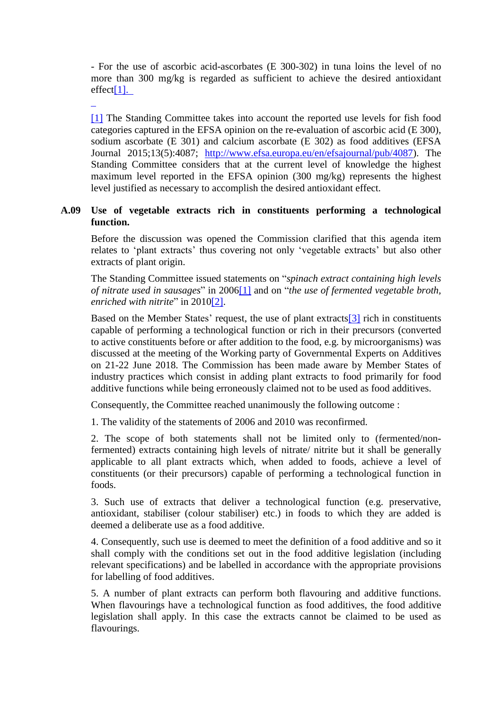- For the use of ascorbic acid-ascorbates (E 300-302) in tuna loins the level of no more than 300 mg/kg is regarded as sufficient to achieve the desired antioxidant effec[t\[1\].](#page-4-0) 

<span id="page-4-1"></span>

<span id="page-4-0"></span>[\[1\]](#page-4-1) The Standing Committee takes into account the reported use levels for fish food categories captured in the EFSA opinion on the re-evaluation of ascorbic acid (E 300), sodium ascorbate (E 301) and calcium ascorbate (E 302) as food additives (EFSA Journal 2015;13(5):4087; [http://www.efsa.europa.eu/en/efsajournal/pub/4087\)](http://www.efsa.europa.eu/en/efsajournal/pub/4087). The Standing Committee considers that at the current level of knowledge the highest maximum level reported in the EFSA opinion (300 mg/kg) represents the highest level justified as necessary to accomplish the desired antioxidant effect.

## **A.09 Use of vegetable extracts rich in constituents performing a technological function.**

Before the discussion was opened the Commission clarified that this agenda item relates to 'plant extracts' thus covering not only 'vegetable extracts' but also other extracts of plant origin.

The Standing Committee issued statements on "*spinach extract containing high levels of nitrate used in sausages*" in 200[6\[1\]](#page-4-0) and on "*the use of fermented vegetable broth, enriched with nitrite*" in 201[0\[2\].](#page-5-0)

<span id="page-4-3"></span><span id="page-4-2"></span>Based on the Member States' request, the use of plant extract[s\[3\]](#page-5-1) rich in constituents capable of performing a technological function or rich in their precursors (converted to active constituents before or after addition to the food, e.g. by microorganisms) was discussed at the meeting of the Working party of Governmental Experts on Additives on 21-22 June 2018. The Commission has been made aware by Member States of industry practices which consist in adding plant extracts to food primarily for food additive functions while being erroneously claimed not to be used as food additives.

Consequently, the Committee reached unanimously the following outcome :

1. The validity of the statements of 2006 and 2010 was reconfirmed.

2. The scope of both statements shall not be limited only to (fermented/nonfermented) extracts containing high levels of nitrate/ nitrite but it shall be generally applicable to all plant extracts which, when added to foods, achieve a level of constituents (or their precursors) capable of performing a technological function in foods.

3. Such use of extracts that deliver a technological function (e.g. preservative, antioxidant, stabiliser (colour stabiliser) etc.) in foods to which they are added is deemed a deliberate use as a food additive.

4. Consequently, such use is deemed to meet the definition of a food additive and so it shall comply with the conditions set out in the food additive legislation (including relevant specifications) and be labelled in accordance with the appropriate provisions for labelling of food additives.

5. A number of plant extracts can perform both flavouring and additive functions. When flavourings have a technological function as food additives, the food additive legislation shall apply. In this case the extracts cannot be claimed to be used as flavourings.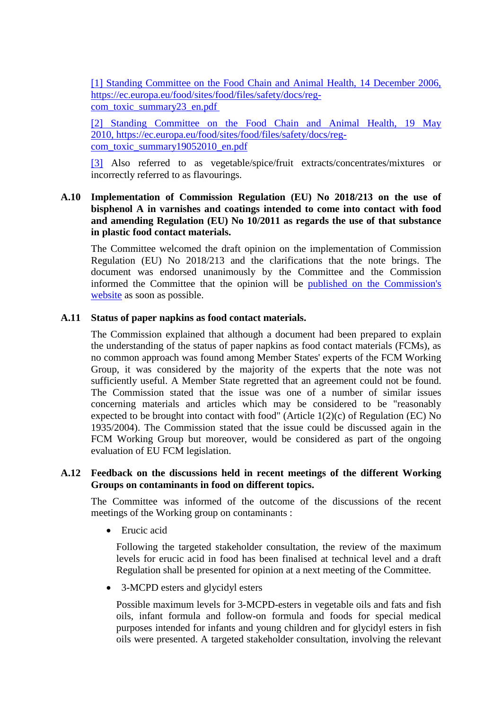[1] Standing [Committee](#page-4-1) on the Food Chain and Animal Health, 14 December 2006, [https://ec.europa.eu/food/sites/food/files/safety/docs/reg](#page-4-1)[com\\_toxic\\_summary23\\_en.pdf](#page-4-1)

<span id="page-5-0"></span>[2] Standing [Committee](#page-4-2) on the Food Chain and Animal Health, 19 May [2010,](#page-4-2) [https://ec.europa.eu/food/sites/food/files/safety/docs/reg](https://ec.europa.eu/food/sites/food/files/safety/docs/reg-com_toxic_summary19052010_en.pdf)[com\\_toxic\\_summary19052010\\_en.pdf](https://ec.europa.eu/food/sites/food/files/safety/docs/reg-com_toxic_summary19052010_en.pdf)

<span id="page-5-1"></span>[\[3\]](#page-4-3) Also referred to as vegetable/spice/fruit extracts/concentrates/mixtures or incorrectly referred to as flavourings.

## **A.10 Implementation of Commission Regulation (EU) No 2018/213 on the use of bisphenol A in varnishes and coatings intended to come into contact with food and amending Regulation (EU) No 10/2011 as regards the use of that substance in plastic food contact materials.**

The Committee welcomed the draft opinion on the implementation of Commission Regulation (EU) No 2018/213 and the clarifications that the note brings. The document was endorsed unanimously by the Committee and the Commission informed the Committee that the opinion will be published on the [Commission's](https://ec.europa.eu/food/sites/food/files/safety/docs/cs_fcm_bisphenol-a_imp-und_20180917.pdf) [website](https://ec.europa.eu/food/sites/food/files/safety/docs/cs_fcm_bisphenol-a_imp-und_20180917.pdf) as soon as possible.

## **A.11 Status of paper napkins as food contact materials.**

The Commission explained that although a document had been prepared to explain the understanding of the status of paper napkins as food contact materials (FCMs), as no common approach was found among Member States' experts of the FCM Working Group, it was considered by the majority of the experts that the note was not sufficiently useful. A Member State regretted that an agreement could not be found. The Commission stated that the issue was one of a number of similar issues concerning materials and articles which may be considered to be "reasonably expected to be brought into contact with food" (Article 1(2)(c) of Regulation (EC) No 1935/2004). The Commission stated that the issue could be discussed again in the FCM Working Group but moreover, would be considered as part of the ongoing evaluation of EU FCM legislation.

### **A.12 Feedback on the discussions held in recent meetings of the different Working Groups on contaminants in food on different topics.**

The Committee was informed of the outcome of the discussions of the recent meetings of the Working group on contaminants :

• Erucic acid

Following the targeted stakeholder consultation, the review of the maximum levels for erucic acid in food has been finalised at technical level and a draft Regulation shall be presented for opinion at a next meeting of the Committee.

• 3-MCPD esters and glycidyl esters

Possible maximum levels for 3-MCPD-esters in vegetable oils and fats and fish oils, infant formula and follow-on formula and foods for special medical purposes intended for infants and young children and for glycidyl esters in fish oils were presented. A targeted stakeholder consultation, involving the relevant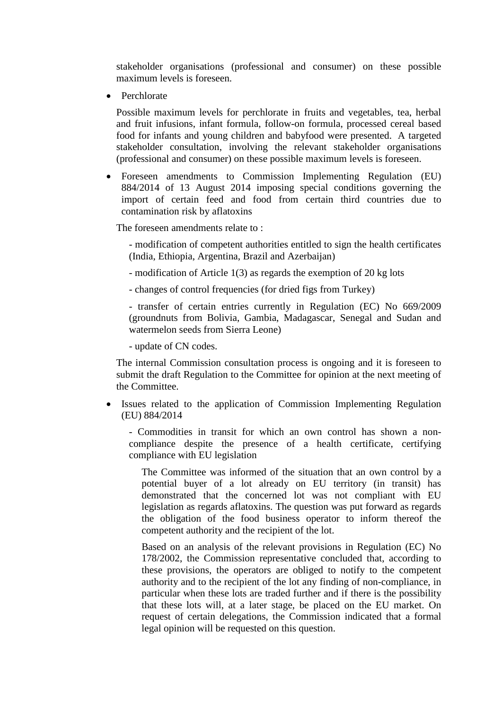stakeholder organisations (professional and consumer) on these possible maximum levels is foreseen.

Perchlorate

Possible maximum levels for perchlorate in fruits and vegetables, tea, herbal and fruit infusions, infant formula, follow-on formula, processed cereal based food for infants and young children and babyfood were presented. A targeted stakeholder consultation, involving the relevant stakeholder organisations (professional and consumer) on these possible maximum levels is foreseen.

 Foreseen amendments to Commission Implementing Regulation (EU) 884/2014 of 13 August 2014 imposing special conditions governing the import of certain feed and food from certain third countries due to contamination risk by aflatoxins

The foreseen amendments relate to :

- modification of competent authorities entitled to sign the health certificates (India, Ethiopia, Argentina, Brazil and Azerbaijan)

- modification of Article 1(3) as regards the exemption of 20 kg lots

- changes of control frequencies (for dried figs from Turkey)

- transfer of certain entries currently in Regulation (EC) No 669/2009 (groundnuts from Bolivia, Gambia, Madagascar, Senegal and Sudan and watermelon seeds from Sierra Leone)

- update of CN codes.

The internal Commission consultation process is ongoing and it is foreseen to submit the draft Regulation to the Committee for opinion at the next meeting of the Committee.

• Issues related to the application of Commission Implementing Regulation (EU) 884/2014

- Commodities in transit for which an own control has shown a noncompliance despite the presence of a health certificate, certifying compliance with EU legislation

The Committee was informed of the situation that an own control by a potential buyer of a lot already on EU territory (in transit) has demonstrated that the concerned lot was not compliant with EU legislation as regards aflatoxins. The question was put forward as regards the obligation of the food business operator to inform thereof the competent authority and the recipient of the lot.

Based on an analysis of the relevant provisions in Regulation (EC) No 178/2002, the Commission representative concluded that, according to these provisions, the operators are obliged to notify to the competent authority and to the recipient of the lot any finding of non-compliance, in particular when these lots are traded further and if there is the possibility that these lots will, at a later stage, be placed on the EU market. On request of certain delegations, the Commission indicated that a formal legal opinion will be requested on this question.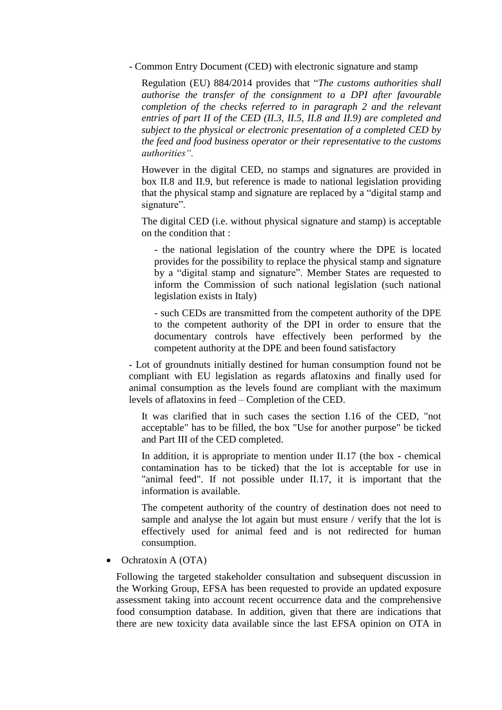- Common Entry Document (CED) with electronic signature and stamp

Regulation (EU) 884/2014 provides that "*The customs authorities shall authorise the transfer of the consignment to a DPI after favourable completion of the checks referred to in paragraph 2 and the relevant entries of part II of the CED (II.3, II.5, II.8 and II.9) are completed and subject to the physical or electronic presentation of a completed CED by the feed and food business operator or their representative to the customs authorities".*

However in the digital CED, no stamps and signatures are provided in box II.8 and II.9, but reference is made to national legislation providing that the physical stamp and signature are replaced by a "digital stamp and signature".

The digital CED (i.e. without physical signature and stamp) is acceptable on the condition that :

- the national legislation of the country where the DPE is located provides for the possibility to replace the physical stamp and signature by a "digital stamp and signature". Member States are requested to inform the Commission of such national legislation (such national legislation exists in Italy)

- such CEDs are transmitted from the competent authority of the DPE to the competent authority of the DPI in order to ensure that the documentary controls have effectively been performed by the competent authority at the DPE and been found satisfactory

- Lot of groundnuts initially destined for human consumption found not be compliant with EU legislation as regards aflatoxins and finally used for animal consumption as the levels found are compliant with the maximum levels of aflatoxins in feed – Completion of the CED.

It was clarified that in such cases the section I.16 of the CED, "not acceptable" has to be filled, the box "Use for another purpose" be ticked and Part III of the CED completed.

In addition, it is appropriate to mention under II.17 (the box - chemical contamination has to be ticked) that the lot is acceptable for use in "animal feed". If not possible under II.17, it is important that the information is available.

The competent authority of the country of destination does not need to sample and analyse the lot again but must ensure / verify that the lot is effectively used for animal feed and is not redirected for human consumption.

Ochratoxin A (OTA)

Following the targeted stakeholder consultation and subsequent discussion in the Working Group, EFSA has been requested to provide an updated exposure assessment taking into account recent occurrence data and the comprehensive food consumption database. In addition, given that there are indications that there are new toxicity data available since the last EFSA opinion on OTA in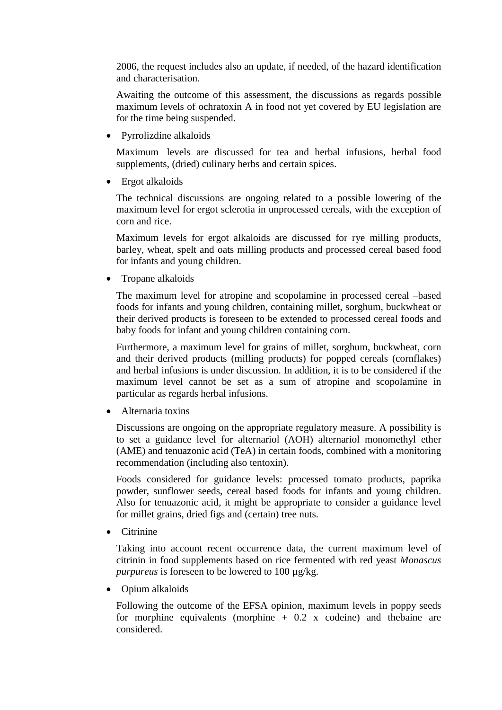2006, the request includes also an update, if needed, of the hazard identification and characterisation.

Awaiting the outcome of this assessment, the discussions as regards possible maximum levels of ochratoxin A in food not yet covered by EU legislation are for the time being suspended.

Pyrrolizdine alkaloids

Maximum levels are discussed for tea and herbal infusions, herbal food supplements, (dried) culinary herbs and certain spices.

• Ergot alkaloids

The technical discussions are ongoing related to a possible lowering of the maximum level for ergot sclerotia in unprocessed cereals, with the exception of corn and rice.

Maximum levels for ergot alkaloids are discussed for rye milling products, barley, wheat, spelt and oats milling products and processed cereal based food for infants and young children.

• Tropane alkaloids

The maximum level for atropine and scopolamine in processed cereal –based foods for infants and young children, containing millet, sorghum, buckwheat or their derived products is foreseen to be extended to processed cereal foods and baby foods for infant and young children containing corn.

Furthermore, a maximum level for grains of millet, sorghum, buckwheat, corn and their derived products (milling products) for popped cereals (cornflakes) and herbal infusions is under discussion. In addition, it is to be considered if the maximum level cannot be set as a sum of atropine and scopolamine in particular as regards herbal infusions.

Alternaria toxins

Discussions are ongoing on the appropriate regulatory measure. A possibility is to set a guidance level for alternariol (AOH) alternariol monomethyl ether (AME) and tenuazonic acid (TeA) in certain foods, combined with a monitoring recommendation (including also tentoxin).

Foods considered for guidance levels: processed tomato products, paprika powder, sunflower seeds, cereal based foods for infants and young children. Also for tenuazonic acid, it might be appropriate to consider a guidance level for millet grains, dried figs and (certain) tree nuts.

Citrinine

Taking into account recent occurrence data, the current maximum level of citrinin in food supplements based on rice fermented with red yeast *Monascus purpureus* is foreseen to be lowered to 100 µg/kg.

Opium alkaloids

Following the outcome of the EFSA opinion, maximum levels in poppy seeds for morphine equivalents (morphine  $+ 0.2$  x codeine) and the baine are considered.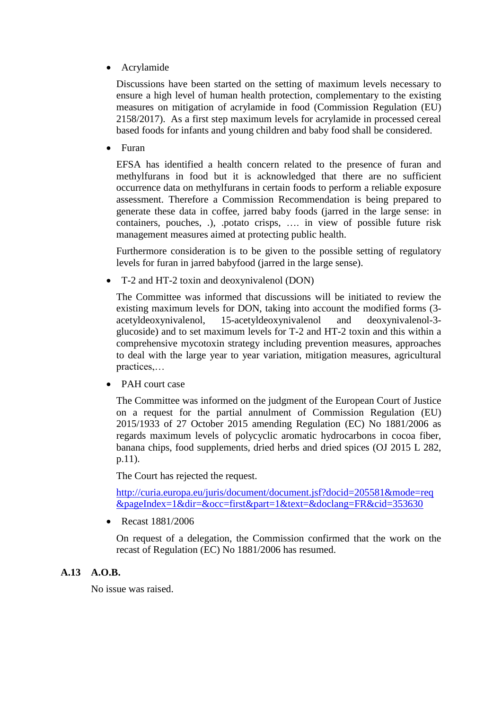Acrylamide

Discussions have been started on the setting of maximum levels necessary to ensure a high level of human health protection, complementary to the existing measures on mitigation of acrylamide in food (Commission Regulation (EU) 2158/2017). As a first step maximum levels for acrylamide in processed cereal based foods for infants and young children and baby food shall be considered.

Furan

EFSA has identified a health concern related to the presence of furan and methylfurans in food but it is acknowledged that there are no sufficient occurrence data on methylfurans in certain foods to perform a reliable exposure assessment. Therefore a Commission Recommendation is being prepared to generate these data in coffee, jarred baby foods (jarred in the large sense: in containers, pouches, .), .potato crisps, …. in view of possible future risk management measures aimed at protecting public health.

Furthermore consideration is to be given to the possible setting of regulatory levels for furan in jarred babyfood (jarred in the large sense).

T-2 and HT-2 toxin and deoxynivalenol (DON)

The Committee was informed that discussions will be initiated to review the existing maximum levels for DON, taking into account the modified forms (3 acetyldeoxynivalenol, 15-acetyldeoxynivalenol and deoxynivalenol-3 glucoside) and to set maximum levels for T-2 and HT-2 toxin and this within a comprehensive mycotoxin strategy including prevention measures, approaches to deal with the large year to year variation, mitigation measures, agricultural practices,…

• PAH court case

The Committee was informed on the judgment of the European Court of Justice on a request for the partial annulment of Commission Regulation (EU) 2015/1933 of 27 October 2015 amending Regulation (EC) No 1881/2006 as regards maximum levels of polycyclic aromatic hydrocarbons in cocoa fiber, banana chips, food supplements, dried herbs and dried spices (OJ 2015 L 282, p.11).

The Court has rejected the request.

[http://curia.europa.eu/juris/document/document.jsf?docid=205581&mode=req](http://curia.europa.eu/juris/document/document.jsf?docid=205581&mode=req&pageIndex=1&dir=&occ=first&part=1&text=&doclang=FR&cid=353630) [&pageIndex=1&dir=&occ=first&part=1&text=&doclang=FR&cid=353630](http://curia.europa.eu/juris/document/document.jsf?docid=205581&mode=req&pageIndex=1&dir=&occ=first&part=1&text=&doclang=FR&cid=353630)

Recast 1881/2006

On request of a delegation, the Commission confirmed that the work on the recast of Regulation (EC) No 1881/2006 has resumed.

### **A.13 A.O.B.**

No issue was raised.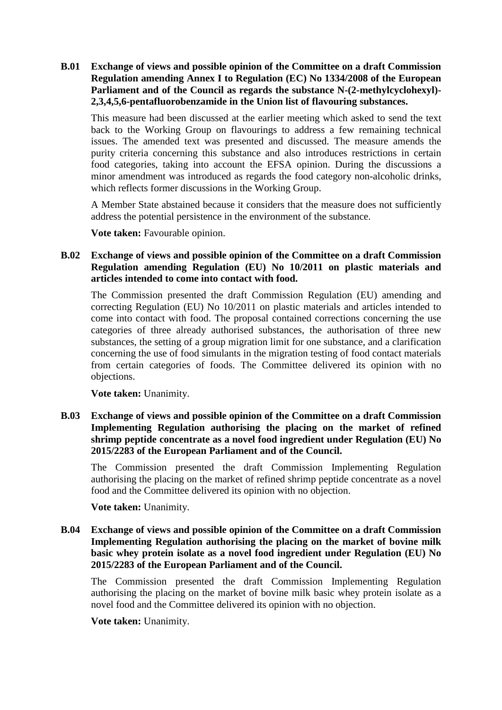**B.01 Exchange of views and possible opinion of the Committee on a draft Commission Regulation amending Annex I to Regulation (EC) No 1334/2008 of the European Parliament and of the Council as regards the substance N-(2-methylcyclohexyl)- 2,3,4,5,6-pentafluorobenzamide in the Union list of flavouring substances.**

This measure had been discussed at the earlier meeting which asked to send the text back to the Working Group on flavourings to address a few remaining technical issues. The amended text was presented and discussed. The measure amends the purity criteria concerning this substance and also introduces restrictions in certain food categories, taking into account the EFSA opinion. During the discussions a minor amendment was introduced as regards the food category non-alcoholic drinks, which reflects former discussions in the Working Group.

A Member State abstained because it considers that the measure does not sufficiently address the potential persistence in the environment of the substance.

**Vote taken:** Favourable opinion.

## **B.02 Exchange of views and possible opinion of the Committee on a draft Commission Regulation amending Regulation (EU) No 10/2011 on plastic materials and articles intended to come into contact with food.**

The Commission presented the draft Commission Regulation (EU) amending and correcting Regulation (EU) No 10/2011 on plastic materials and articles intended to come into contact with food. The proposal contained corrections concerning the use categories of three already authorised substances, the authorisation of three new substances, the setting of a group migration limit for one substance, and a clarification concerning the use of food simulants in the migration testing of food contact materials from certain categories of foods. The Committee delivered its opinion with no objections.

**Vote taken:** Unanimity.

**B.03 Exchange of views and possible opinion of the Committee on a draft Commission Implementing Regulation authorising the placing on the market of refined shrimp peptide concentrate as a novel food ingredient under Regulation (EU) No 2015/2283 of the European Parliament and of the Council.**

The Commission presented the draft Commission Implementing Regulation authorising the placing on the market of refined shrimp peptide concentrate as a novel food and the Committee delivered its opinion with no objection.

**Vote taken:** Unanimity.

**B.04 Exchange of views and possible opinion of the Committee on a draft Commission Implementing Regulation authorising the placing on the market of bovine milk basic whey protein isolate as a novel food ingredient under Regulation (EU) No 2015/2283 of the European Parliament and of the Council.**

The Commission presented the draft Commission Implementing Regulation authorising the placing on the market of bovine milk basic whey protein isolate as a novel food and the Committee delivered its opinion with no objection.

**Vote taken:** Unanimity.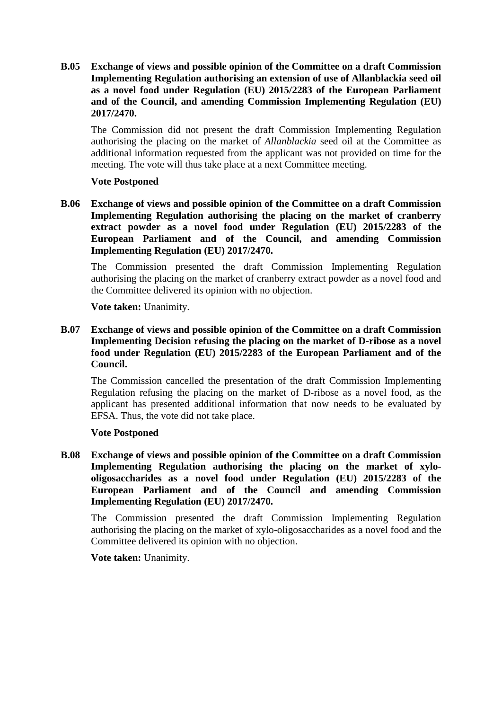**B.05 Exchange of views and possible opinion of the Committee on a draft Commission Implementing Regulation authorising an extension of use of Allanblackia seed oil as a novel food under Regulation (EU) 2015/2283 of the European Parliament and of the Council, and amending Commission Implementing Regulation (EU) 2017/2470.**

The Commission did not present the draft Commission Implementing Regulation authorising the placing on the market of *Allanblackia* seed oil at the Committee as additional information requested from the applicant was not provided on time for the meeting. The vote will thus take place at a next Committee meeting.

### **Vote Postponed**

**B.06 Exchange of views and possible opinion of the Committee on a draft Commission Implementing Regulation authorising the placing on the market of cranberry extract powder as a novel food under Regulation (EU) 2015/2283 of the European Parliament and of the Council, and amending Commission Implementing Regulation (EU) 2017/2470.**

The Commission presented the draft Commission Implementing Regulation authorising the placing on the market of cranberry extract powder as a novel food and the Committee delivered its opinion with no objection.

**Vote taken:** Unanimity.

**B.07 Exchange of views and possible opinion of the Committee on a draft Commission Implementing Decision refusing the placing on the market of D-ribose as a novel food under Regulation (EU) 2015/2283 of the European Parliament and of the Council.**

The Commission cancelled the presentation of the draft Commission Implementing Regulation refusing the placing on the market of D-ribose as a novel food, as the applicant has presented additional information that now needs to be evaluated by EFSA. Thus, the vote did not take place.

### **Vote Postponed**

**B.08 Exchange of views and possible opinion of the Committee on a draft Commission Implementing Regulation authorising the placing on the market of xylooligosaccharides as a novel food under Regulation (EU) 2015/2283 of the European Parliament and of the Council and amending Commission Implementing Regulation (EU) 2017/2470.**

The Commission presented the draft Commission Implementing Regulation authorising the placing on the market of xylo-oligosaccharides as a novel food and the Committee delivered its opinion with no objection.

**Vote taken:** Unanimity.